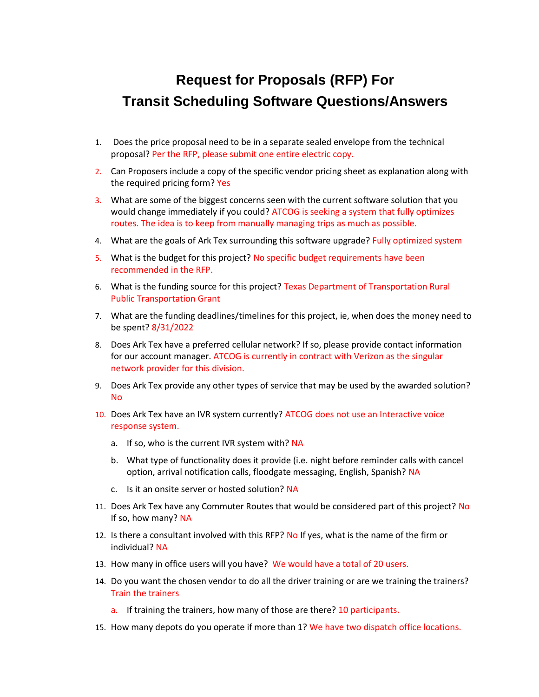## **Request for Proposals (RFP) For Transit Scheduling Software Questions/Answers**

- 1. Does the price proposal need to be in a separate sealed envelope from the technical proposal? Per the RFP, please submit one entire electric copy.
- 2. Can Proposers include a copy of the specific vendor pricing sheet as explanation along with the required pricing form? Yes
- 3. What are some of the biggest concerns seen with the current software solution that you would change immediately if you could? ATCOG is seeking a system that fully optimizes routes. The idea is to keep from manually managing trips as much as possible.
- 4. What are the goals of Ark Tex surrounding this software upgrade? Fully optimized system
- 5. What is the budget for this project? No specific budget requirements have been recommended in the RFP.
- 6. What is the funding source for this project? Texas Department of Transportation Rural Public Transportation Grant
- 7. What are the funding deadlines/timelines for this project, ie, when does the money need to be spent? 8/31/2022
- 8. Does Ark Tex have a preferred cellular network? If so, please provide contact information for our account manager. ATCOG is currently in contract with Verizon as the singular network provider for this division.
- 9. Does Ark Tex provide any other types of service that may be used by the awarded solution? No
- 10. Does Ark Tex have an IVR system currently? ATCOG does not use an Interactive voice response system.
	- a. If so, who is the current IVR system with? NA
	- b. What type of functionality does it provide (i.e. night before reminder calls with cancel option, arrival notification calls, floodgate messaging, English, Spanish? NA
	- c. Is it an onsite server or hosted solution? NA
- 11. Does Ark Tex have any Commuter Routes that would be considered part of this project? No If so, how many? NA
- 12. Is there a consultant involved with this RFP? No If yes, what is the name of the firm or individual? NA
- 13. How many in office users will you have? We would have a total of 20 users.
- 14. Do you want the chosen vendor to do all the driver training or are we training the trainers? Train the trainers
	- a. If training the trainers, how many of those are there? 10 participants.
- 15. How many depots do you operate if more than 1? We have two dispatch office locations.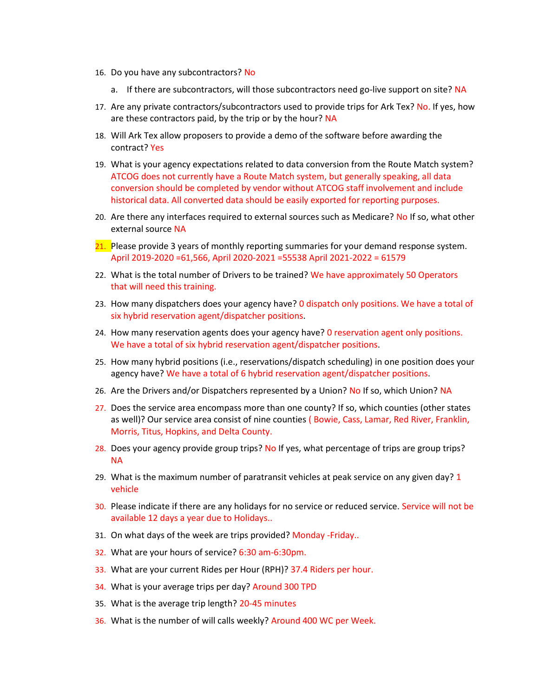- 16. Do you have any subcontractors? No
	- a. If there are subcontractors, will those subcontractors need go-live support on site? NA
- 17. Are any private contractors/subcontractors used to provide trips for Ark Tex? No. If yes, how are these contractors paid, by the trip or by the hour? NA
- 18. Will Ark Tex allow proposers to provide a demo of the software before awarding the contract? Yes
- 19. What is your agency expectations related to data conversion from the Route Match system? ATCOG does not currently have a Route Match system, but generally speaking, all data conversion should be completed by vendor without ATCOG staff involvement and include historical data. All converted data should be easily exported for reporting purposes.
- 20. Are there any interfaces required to external sources such as Medicare? No If so, what other external source NA
- 21. Please provide 3 years of monthly reporting summaries for your demand response system. April 2019-2020 =61,566, April 2020-2021 =55538 April 2021-2022 = 61579
- 22. What is the total number of Drivers to be trained? We have approximately 50 Operators that will need this training.
- 23. How many dispatchers does your agency have? O dispatch only positions. We have a total of six hybrid reservation agent/dispatcher positions.
- 24. How many reservation agents does your agency have? 0 reservation agent only positions. We have a total of six hybrid reservation agent/dispatcher positions.
- 25. How many hybrid positions (i.e., reservations/dispatch scheduling) in one position does your agency have? We have a total of 6 hybrid reservation agent/dispatcher positions.
- 26. Are the Drivers and/or Dispatchers represented by a Union? No If so, which Union? NA
- 27. Does the service area encompass more than one county? If so, which counties (other states as well)? Our service area consist of nine counties (Bowie, Cass, Lamar, Red River, Franklin, Morris, Titus, Hopkins, and Delta County.
- 28. Does your agency provide group trips? No If yes, what percentage of trips are group trips? NA
- 29. What is the maximum number of paratransit vehicles at peak service on any given day? 1 vehicle
- 30. Please indicate if there are any holidays for no service or reduced service. Service will not be available 12 days a year due to Holidays..
- 31. On what days of the week are trips provided? Monday -Friday..
- 32. What are your hours of service? 6:30 am-6:30pm.
- 33. What are your current Rides per Hour (RPH)? 37.4 Riders per hour.
- 34. What is your average trips per day? Around 300 TPD
- 35. What is the average trip length? 20-45 minutes
- 36. What is the number of will calls weekly? Around 400 WC per Week.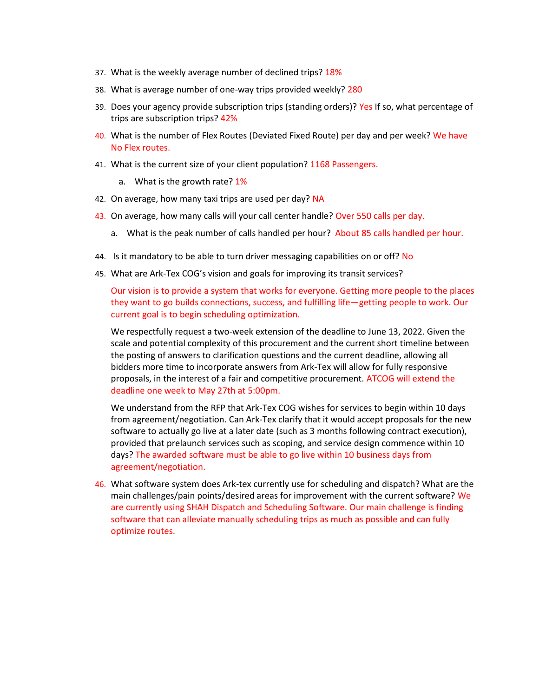- 37. What is the weekly average number of declined trips? 18%
- 38. What is average number of one-way trips provided weekly? 280
- 39. Does your agency provide subscription trips (standing orders)? Yes If so, what percentage of trips are subscription trips? 42%
- 40. What is the number of Flex Routes (Deviated Fixed Route) per day and per week? We have No Flex routes.
- 41. What is the current size of your client population? 1168 Passengers.
	- a. What is the growth rate? 1%
- 42. On average, how many taxi trips are used per day? NA
- 43. On average, how many calls will your call center handle? Over 550 calls per day.
	- a. What is the peak number of calls handled per hour? About 85 calls handled per hour.
- 44. Is it mandatory to be able to turn driver messaging capabilities on or off? No
- 45. What are Ark-Tex COG's vision and goals for improving its transit services?

Our vision is to provide a system that works for everyone. Getting more people to the places they want to go builds connections, success, and fulfilling life—getting people to work. Our current goal is to begin scheduling optimization.

We respectfully request a two-week extension of the deadline to June 13, 2022. Given the scale and potential complexity of this procurement and the current short timeline between the posting of answers to clarification questions and the current deadline, allowing all bidders more time to incorporate answers from Ark-Tex will allow for fully responsive proposals, in the interest of a fair and competitive procurement. ATCOG will extend the deadline one week to May 27th at 5:00pm.

We understand from the RFP that Ark-Tex COG wishes for services to begin within 10 days from agreement/negotiation. Can Ark-Tex clarify that it would accept proposals for the new software to actually go live at a later date (such as 3 months following contract execution), provided that prelaunch services such as scoping, and service design commence within 10 days? The awarded software must be able to go live within 10 business days from agreement/negotiation.

46. What software system does Ark-tex currently use for scheduling and dispatch? What are the main challenges/pain points/desired areas for improvement with the current software? We are currently using SHAH Dispatch and Scheduling Software. Our main challenge is finding software that can alleviate manually scheduling trips as much as possible and can fully optimize routes.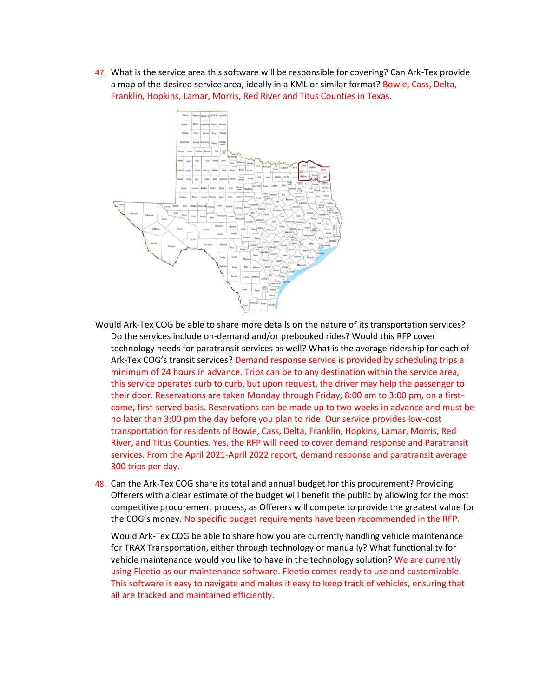47. What is the service area this software will be responsible for covering? Can Ark-Tex provide a map of the desired service area, ideally in a KML or similar format? Bowie, Cass, Delta, Franklin, Hopkins, Lamar, Morris, Red River and Titus Counties in Texas.



- Would Ark-Tex COG be able to share more details on the nature of its transportation services? Do the services include on-demand and/or prebooked rides? Would this RFP cover technology needs for paratransit services as well? What is the average ridership for each of Ark-Tex COG's transit services? Demand response service is provided by scheduling trips a minimum of 24 hours in advance. Trips can be to any destination within the service area, this service operates curb to curb, but upon request, the driver may help the passenger to their door. Reservations are taken Monday through Friday, 8:00 am to 3:00 pm, on a firstcome, first-served basis. Reservations can be made up to two weeks in advance and must be no later than 3:00 pm the day before you plan to ride. Our service provides low-cost transportation for residents of Bowie, Cass, Delta, Franklin, Hopkins, Lamar, Morris, Red River, and Titus Counties. Yes, the RFP will need to cover demand response and Paratransit services. From the April 2021-April 2022 report, demand response and paratransit average 300 trips per day.
- 48. Can the Ark-Tex COG share its total and annual budget for this procurement? Providing Offerers with a clear estimate of the budget will benefit the public by allowing for the most competitive procurement process, as Offerers will compete to provide the greatest value for the COG's money. No specific budget requirements have been recommended in the RFP.

Would Ark-Tex COG be able to share how you are currently handling vehicle maintenance for TRAX Transportation, either through technology or manually? What functionality for vehicle maintenance would you like to have in the technology solution? We are currently using Fleetio as our maintenance software. Fleetio comes ready to use and customizable. This software is easy to navigate and makes it easy to keep track of vehicles, ensuring that all are tracked and maintained efficiently.